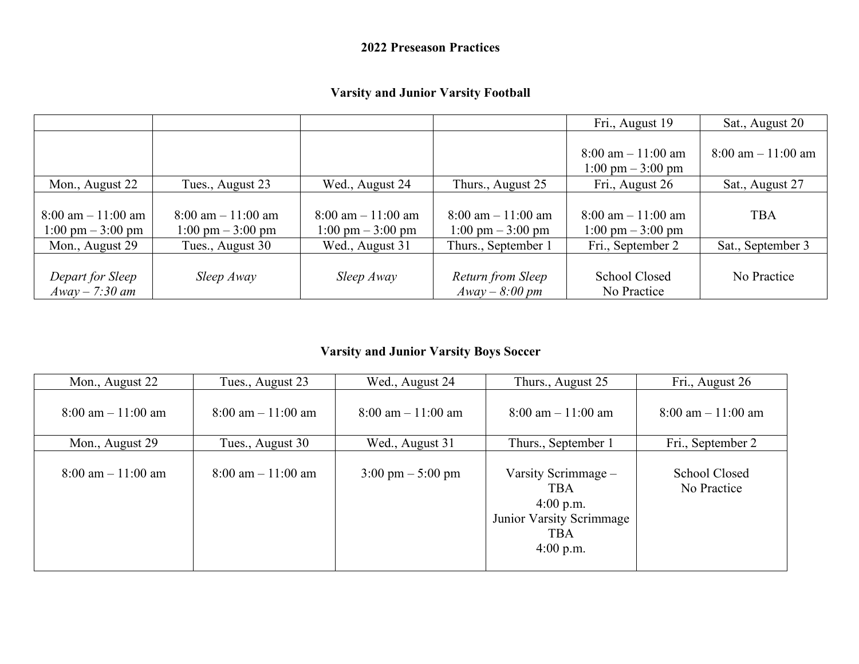#### **2022 Preseason Practices**

#### **Varsity and Junior Varsity Football**

|                                                                             |                                                                             |                                                              |                                                              | Fri., August 19                                              | Sat., August 20       |
|-----------------------------------------------------------------------------|-----------------------------------------------------------------------------|--------------------------------------------------------------|--------------------------------------------------------------|--------------------------------------------------------------|-----------------------|
|                                                                             |                                                                             |                                                              |                                                              | $8:00$ am $-11:00$ am<br>$1:00 \text{ pm} - 3:00 \text{ pm}$ | $8:00$ am $-11:00$ am |
| Mon., August 22                                                             | Tues., August 23                                                            | Wed., August 24                                              | Thurs., August 25                                            | Fri., August 26                                              | Sat., August 27       |
| $8:00 \text{ am} - 11:00 \text{ am}$<br>$1:00 \text{ pm} - 3:00 \text{ pm}$ | $8:00 \text{ am} - 11:00 \text{ am}$<br>$1:00 \text{ pm} - 3:00 \text{ pm}$ | $8:00$ am $-11:00$ am<br>$1:00 \text{ pm} - 3:00 \text{ pm}$ | $8:00$ am $-11:00$ am<br>$1:00 \text{ pm} - 3:00 \text{ pm}$ | $8:00$ am $-11:00$ am<br>$1:00 \text{ pm} - 3:00 \text{ pm}$ | <b>TBA</b>            |
| Mon., August 29                                                             | Tues., August 30                                                            | Wed., August 31                                              | Thurs., September 1                                          | Fri., September 2                                            | Sat., September 3     |
| Depart for Sleep<br>$A$ way $-$ 7:30 am                                     | Sleep Away                                                                  | Sleep Away                                                   | Return from Sleep<br>$A$ way $-8:00$ pm                      | <b>School Closed</b><br>No Practice                          | No Practice           |

#### **Varsity and Junior Varsity Boys Soccer**

| Mon., August 22                      | Tues., August 23                     | Wed., August 24                      | Thurs., August 25                                                                                         | Fri., August 26                      |
|--------------------------------------|--------------------------------------|--------------------------------------|-----------------------------------------------------------------------------------------------------------|--------------------------------------|
| $8:00 \text{ am} - 11:00 \text{ am}$ | $8:00 \text{ am} - 11:00 \text{ am}$ | $8:00 \text{ am} - 11:00 \text{ am}$ | $8:00$ am $-11:00$ am                                                                                     | $8:00 \text{ am} - 11:00 \text{ am}$ |
| Mon., August 29                      | Tues., August 30                     | Wed., August 31                      | Thurs., September 1                                                                                       | Fri., September 2                    |
| $8:00$ am $-11:00$ am                | $8:00 \text{ am} - 11:00 \text{ am}$ | $3:00 \text{ pm} - 5:00 \text{ pm}$  | Varsity Scrimmage -<br><b>TBA</b><br>$4:00$ p.m.<br>Junior Varsity Scrimmage<br><b>TBA</b><br>$4:00$ p.m. | School Closed<br>No Practice         |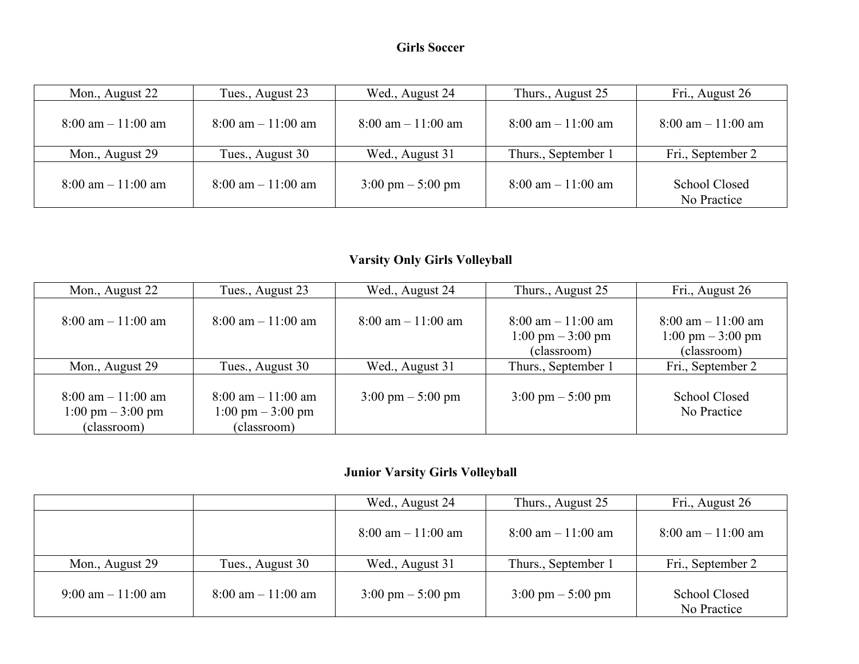| Mon., August 22                      | Tues., August 23                     | Wed., August 24                      | Thurs., August 25                    | Fri., August 26                      |
|--------------------------------------|--------------------------------------|--------------------------------------|--------------------------------------|--------------------------------------|
| $8:00 \text{ am} - 11:00 \text{ am}$ | $8:00 \text{ am} - 11:00 \text{ am}$ | $8:00 \text{ am} - 11:00 \text{ am}$ | $8:00 \text{ am} - 11:00 \text{ am}$ | $8:00 \text{ am} - 11:00 \text{ am}$ |
| Mon., August 29                      | Tues., August 30                     | Wed., August 31                      | Thurs., September 1                  | Fri., September 2                    |
| $8:00 \text{ am} - 11:00 \text{ am}$ | $8:00 \text{ am} - 11:00 \text{ am}$ | $3:00 \text{ pm} - 5:00 \text{ pm}$  | $8:00$ am $-11:00$ am                | School Closed<br>No Practice         |

# **Varsity Only Girls Volleyball**

| Mon., August 22                      | Tues., August 23                     | Wed., August 24                      | Thurs., August 25                    | Fri., August 26                      |
|--------------------------------------|--------------------------------------|--------------------------------------|--------------------------------------|--------------------------------------|
|                                      |                                      |                                      |                                      |                                      |
| $8:00 \text{ am} - 11:00 \text{ am}$ | $8:00 \text{ am} - 11:00 \text{ am}$ | $8:00 \text{ am} - 11:00 \text{ am}$ | $8:00 \text{ am} - 11:00 \text{ am}$ | $8:00 \text{ am} - 11:00 \text{ am}$ |
|                                      |                                      |                                      | $1:00 \text{ pm} - 3:00 \text{ pm}$  | $1:00 \text{ pm} - 3:00 \text{ pm}$  |
|                                      |                                      |                                      | (classroom)                          | (classroom)                          |
| Mon., August 29                      | Tues., August 30                     | Wed., August 31                      | Thurs., September 1                  | Fri., September 2                    |
|                                      |                                      |                                      |                                      |                                      |
| $8:00 \text{ am} - 11:00 \text{ am}$ | $8:00 \text{ am} - 11:00 \text{ am}$ | $3:00 \text{ pm} - 5:00 \text{ pm}$  | $3:00 \text{ pm} - 5:00 \text{ pm}$  | <b>School Closed</b>                 |
| $1:00 \text{ pm} - 3:00 \text{ pm}$  | $1:00 \text{ pm} - 3:00 \text{ pm}$  |                                      |                                      | No Practice                          |
| (classroom)                          | (classroom)                          |                                      |                                      |                                      |

# **Junior Varsity Girls Volleyball**

|                                      |                                      | Wed., August 24                      | Thurs., August 25                    | Fri., August 26                      |
|--------------------------------------|--------------------------------------|--------------------------------------|--------------------------------------|--------------------------------------|
|                                      |                                      | $8:00 \text{ am} - 11:00 \text{ am}$ | $8:00 \text{ am} - 11:00 \text{ am}$ | $8:00 \text{ am} - 11:00 \text{ am}$ |
| Mon., August 29                      | Tues., August 30                     | Wed., August 31                      | Thurs., September 1                  | Fri., September 2                    |
| $9:00 \text{ am} - 11:00 \text{ am}$ | $8:00 \text{ am} - 11:00 \text{ am}$ | $3:00 \text{ pm} - 5:00 \text{ pm}$  | $3:00 \text{ pm} - 5:00 \text{ pm}$  | School Closed<br>No Practice         |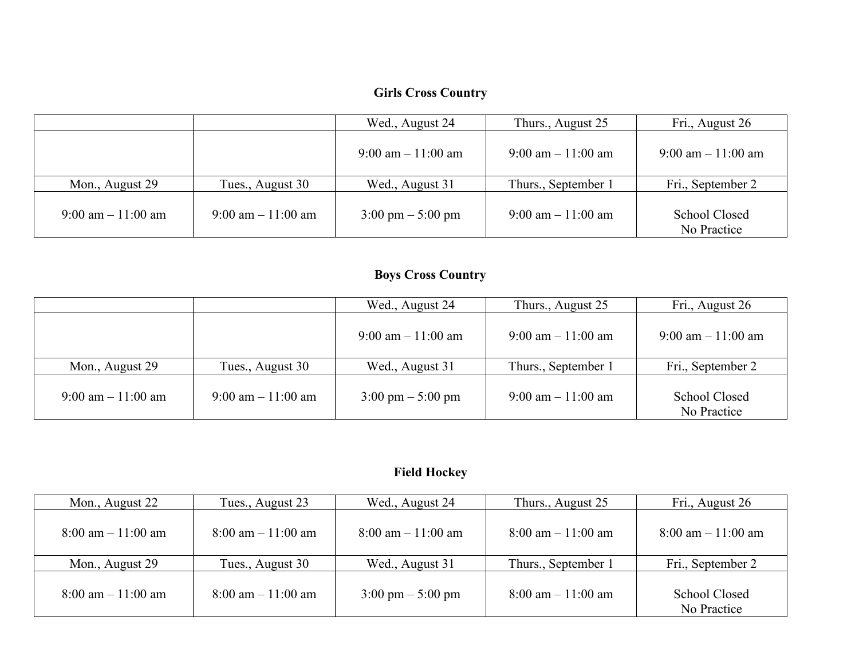### **Girls Cross Country**

|                                      |                                      | Wed., August 24                      | Thurs., August 25                    | Fri., August 26                      |
|--------------------------------------|--------------------------------------|--------------------------------------|--------------------------------------|--------------------------------------|
|                                      |                                      | $9:00 \text{ am} - 11:00 \text{ am}$ | $9:00 \text{ am} - 11:00 \text{ am}$ | $9:00 \text{ am} - 11:00 \text{ am}$ |
| Mon., August 29                      | Tues., August 30                     | Wed., August 31                      | Thurs., September 1                  | Fri., September 2                    |
| $9:00 \text{ am} - 11:00 \text{ am}$ | $9:00 \text{ am} - 11:00 \text{ am}$ | $3:00 \text{ pm} - 5:00 \text{ pm}$  | $9:00 \text{ am} - 11:00 \text{ am}$ | School Closed<br>No Practice         |

# **Boys Cross Country**

|                                      |                                      | Wed., August 24                      | Thurs., August 25                    | Fri., August 26                      |
|--------------------------------------|--------------------------------------|--------------------------------------|--------------------------------------|--------------------------------------|
|                                      |                                      | $9:00 \text{ am} - 11:00 \text{ am}$ | $9:00 \text{ am} - 11:00 \text{ am}$ | $9:00 \text{ am} - 11:00 \text{ am}$ |
| Mon., August 29                      | Tues., August 30                     | Wed., August 31                      | Thurs., September 1                  | Fri., September 2                    |
| $9:00 \text{ am} - 11:00 \text{ am}$ | $9:00 \text{ am} - 11:00 \text{ am}$ | $3:00 \text{ pm} - 5:00 \text{ pm}$  | $9:00 \text{ am} - 11:00 \text{ am}$ | <b>School Closed</b><br>No Practice  |

# **Field Hockey**

| Mon., August 22                      | Tues., August 23                     | Wed., August 24                      | Thurs., August 25                    | Fri., August 26                      |
|--------------------------------------|--------------------------------------|--------------------------------------|--------------------------------------|--------------------------------------|
| $8:00 \text{ am} - 11:00 \text{ am}$ | $8:00 \text{ am} - 11:00 \text{ am}$ | $8:00 \text{ am} - 11:00 \text{ am}$ | $8:00 \text{ am} - 11:00 \text{ am}$ | $8:00 \text{ am} - 11:00 \text{ am}$ |
| Mon., August 29                      | Tues., August 30                     | Wed., August 31                      | Thurs., September 1                  | Fri., September 2                    |
| $8:00 \text{ am} - 11:00 \text{ am}$ | $8:00 \text{ am} - 11:00 \text{ am}$ | $3:00 \text{ pm} - 5:00 \text{ pm}$  | $8:00 \text{ am} - 11:00 \text{ am}$ | School Closed<br>No Practice         |